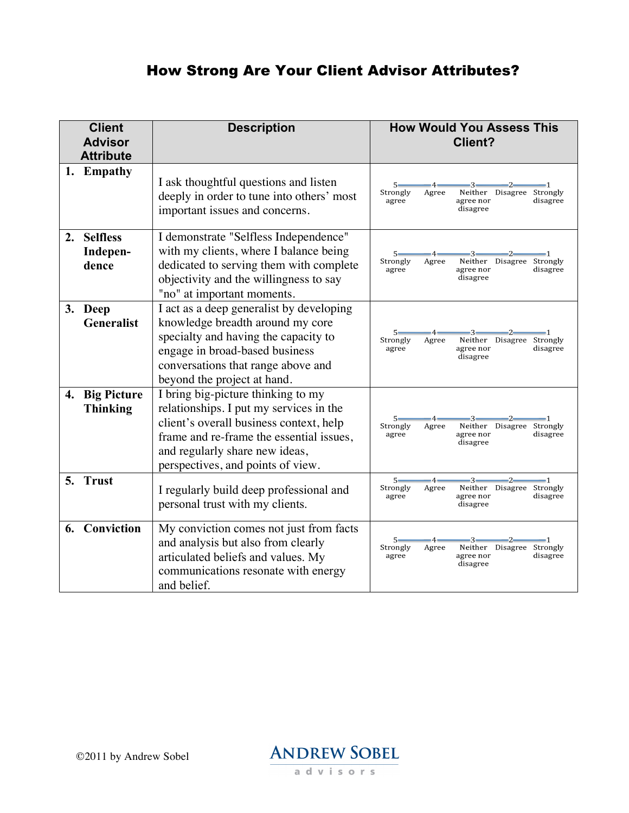## How Strong Are Your Client Advisor Attributes?

| <b>Client</b><br><b>Advisor</b><br><b>Attribute</b> |                                                   | <b>Description</b>                                                                                                                                                                                                                          | <b>How Would You Assess This</b><br>Client?                                                                                                                           |  |  |  |  |
|-----------------------------------------------------|---------------------------------------------------|---------------------------------------------------------------------------------------------------------------------------------------------------------------------------------------------------------------------------------------------|-----------------------------------------------------------------------------------------------------------------------------------------------------------------------|--|--|--|--|
|                                                     | 1. Empathy                                        | I ask thoughtful questions and listen<br>deeply in order to tune into others' most<br>important issues and concerns.                                                                                                                        | $5 -$<br>-4-<br>$-3-$<br>$-2-$<br>-1<br>Strongly<br>Agree<br>Disagree Strongly<br>Neither<br>agree<br>agree nor<br>disagree<br>disagree                               |  |  |  |  |
| 2.                                                  | <b>Selfless</b><br>Indepen-<br>dence              | I demonstrate "Selfless Independence"<br>with my clients, where I balance being<br>dedicated to serving them with complete<br>objectivity and the willingness to say<br>"no" at important moments.                                          | $5 -$<br>-2-<br>Strongly<br>Agree<br>Neither<br>Disagree Strongly<br>agree<br>agree nor<br>disagree<br>disagree                                                       |  |  |  |  |
|                                                     | 3. Deep<br><b>Generalist</b>                      | I act as a deep generalist by developing<br>knowledge breadth around my core<br>specialty and having the capacity to<br>engage in broad-based business<br>conversations that range above and<br>beyond the project at hand.                 | $5 -$<br>-4-<br>-3-<br>-2-<br>Strongly<br>Neither<br>Disagree Strongly<br>Agree<br>agree<br>agree nor<br>disagree<br>disagree                                         |  |  |  |  |
| 5.                                                  | 4. Big Picture<br><b>Thinking</b><br><b>Trust</b> | I bring big-picture thinking to my<br>relationships. I put my services in the<br>client's overall business context, help<br>frame and re-frame the essential issues,<br>and regularly share new ideas,<br>perspectives, and points of view. | -3-<br>-2-<br>5–<br>-4-<br>Strongly<br>Neither<br>Disagree Strongly<br>Agree<br>agree<br>agree nor<br>disagree<br>disagree<br>$-2-$<br>$-4-$<br>$-3-$<br>$5-$<br>$-1$ |  |  |  |  |
|                                                     |                                                   | I regularly build deep professional and<br>personal trust with my clients.                                                                                                                                                                  | Strongly<br>Agree<br>Neither Disagree Strongly<br>agree<br>agree nor<br>disagree<br>disagree                                                                          |  |  |  |  |
|                                                     | 6. Conviction                                     | My conviction comes not just from facts<br>and analysis but also from clearly<br>articulated beliefs and values. My<br>communications resonate with energy<br>and belief.                                                                   | $5 -$<br>3-<br>$\cdot$ 2<br>-4-<br>Strongly<br>Disagree Strongly<br>Agree<br>Neither<br>agree<br>agree nor<br>disagree<br>disagree                                    |  |  |  |  |